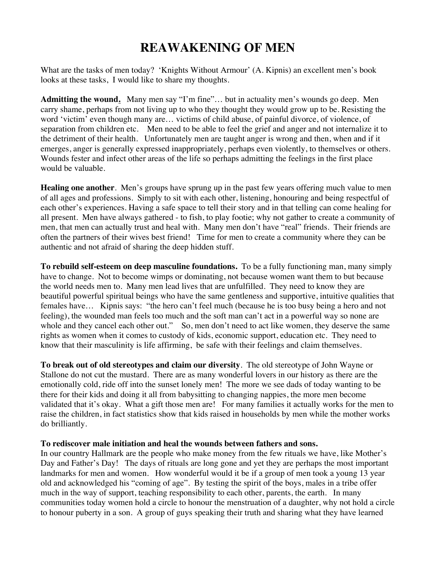## **REAWAKENING OF MEN**

What are the tasks of men today? 'Knights Without Armour' (A. Kipnis) an excellent men's book looks at these tasks, I would like to share my thoughts.

Admitting the wound. Many men say "I'm fine"... but in actuality men's wounds go deep. Men carry shame, perhaps from not living up to who they thought they would grow up to be. Resisting the word 'victim' even though many are… victims of child abuse, of painful divorce, of violence, of separation from children etc. Men need to be able to feel the grief and anger and not internalize it to the detriment of their health. Unfortunately men are taught anger is wrong and then, when and if it emerges, anger is generally expressed inappropriately, perhaps even violently, to themselves or others. Wounds fester and infect other areas of the life so perhaps admitting the feelings in the first place would be valuable.

**Healing one another**. Men's groups have sprung up in the past few years offering much value to men of all ages and professions. Simply to sit with each other, listening, honouring and being respectful of each other's experiences. Having a safe space to tell their story and in that telling can come healing for all present. Men have always gathered - to fish, to play footie; why not gather to create a community of men, that men can actually trust and heal with. Many men don't have "real" friends. Their friends are often the partners of their wives best friend! Time for men to create a community where they can be authentic and not afraid of sharing the deep hidden stuff.

**To rebuild self-esteem on deep masculine foundations.** To be a fully functioning man, many simply have to change. Not to become wimps or dominating, not because women want them to but because the world needs men to. Many men lead lives that are unfulfilled. They need to know they are beautiful powerful spiritual beings who have the same gentleness and supportive, intuitive qualities that females have… Kipnis says: "the hero can't feel much (because he is too busy being a hero and not feeling), the wounded man feels too much and the soft man can't act in a powerful way so none are whole and they cancel each other out." So, men don't need to act like women, they deserve the same rights as women when it comes to custody of kids, economic support, education etc. They need to know that their masculinity is life affirming, be safe with their feelings and claim themselves.

**To break out of old stereotypes and claim our diversity**. The old stereotype of John Wayne or Stallone do not cut the mustard. There are as many wonderful lovers in our history as there are the emotionally cold, ride off into the sunset lonely men! The more we see dads of today wanting to be there for their kids and doing it all from babysitting to changing nappies, the more men become validated that it's okay. What a gift those men are! For many families it actually works for the men to raise the children, in fact statistics show that kids raised in households by men while the mother works do brilliantly.

## **To rediscover male initiation and heal the wounds between fathers and sons.**

In our country Hallmark are the people who make money from the few rituals we have, like Mother's Day and Father's Day! The days of rituals are long gone and yet they are perhaps the most important landmarks for men and women. How wonderful would it be if a group of men took a young 13 year old and acknowledged his "coming of age". By testing the spirit of the boys, males in a tribe offer much in the way of support, teaching responsibility to each other, parents, the earth. In many communities today women hold a circle to honour the menstruation of a daughter, why not hold a circle to honour puberty in a son. A group of guys speaking their truth and sharing what they have learned